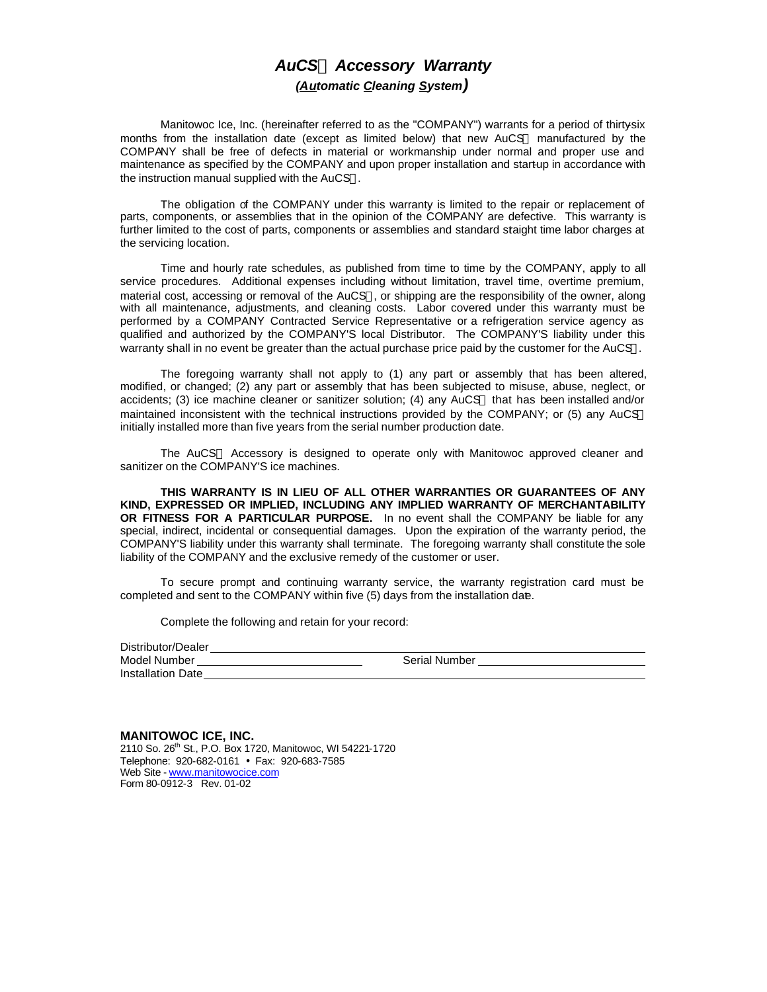# *AuCSÒ Accessory Warranty (Automatic Cleaning System)*

Manitowoc Ice, Inc. (hereinafter referred to as the "COMPANY") warrants for a period of thirty-six months from the installation date (except as limited below) that new AuCS® manufactured by the COMPANY shall be free of defects in material or workmanship under normal and proper use and maintenance as specified by the COMPANY and upon proper installation and startup in accordance with the instruction manual supplied with the AuCS®.

The obligation of the COMPANY under this warranty is limited to the repair or replacement of parts, components, or assemblies that in the opinion of the COMPANY are defective. This warranty is further limited to the cost of parts, components or assemblies and standard staight time labor charges at the servicing location.

Time and hourly rate schedules, as published from time to time by the COMPANY, apply to all service procedures. Additional expenses including without limitation, travel time, overtime premium, material cost, accessing or removal of the AuCS®, or shipping are the responsibility of the owner, along with all maintenance, adjustments, and cleaning costs. Labor covered under this warranty must be performed by a COMPANY Contracted Service Representative or a refrigeration service agency as qualified and authorized by the COMPANY'S local Distributor. The COMPANY'S liability under this warranty shall in no event be greater than the actual purchase price paid by the customer for the AuCS®.

The foregoing warranty shall not apply to (1) any part or assembly that has been altered, modified, or changed; (2) any part or assembly that has been subjected to misuse, abuse, neglect, or accidents; (3) ice machine cleaner or sanitizer solution; (4) any AuCS® that has been installed and/or maintained inconsistent with the technical instructions provided by the COMPANY; or (5) any AuCS® initially installed more than five years from the serial number production date.

The AuCS® Accessory is designed to operate only with Manitowoc approved cleaner and sanitizer on the COMPANY'S ice machines.

**THIS WARRANTY IS IN LIEU OF ALL OTHER WARRANTIES OR GUARANTEES OF ANY KIND, EXPRESSED OR IMPLIED, INCLUDING ANY IMPLIED WARRANTY OF MERCHANTABILITY OR FITNESS FOR A PARTICULAR PURPOSE.** In no event shall the COMPANY be liable for any special, indirect, incidental or consequential damages. Upon the expiration of the warranty period, the COMPANY'S liability under this warranty shall terminate. The foregoing warranty shall constitute the sole liability of the COMPANY and the exclusive remedy of the customer or user.

To secure prompt and continuing warranty service, the warranty registration card must be completed and sent to the COMPANY within five (5) days from the installation dae.

Complete the following and retain for your record:

| Distributor/Dealer       |                      |
|--------------------------|----------------------|
| Model Number             | <b>Serial Number</b> |
| <b>Installation Date</b> |                      |

**MANITOWOC ICE, INC.** 2110 So. 26<sup>th</sup> St., P.O. Box 1720, Manitowoc, WI 54221-1720 Telephone: 920-682-0161 • Fax: 920-683-7585 Web Site - www.manitowocice.com Form 80-0912-3 Rev. 01-02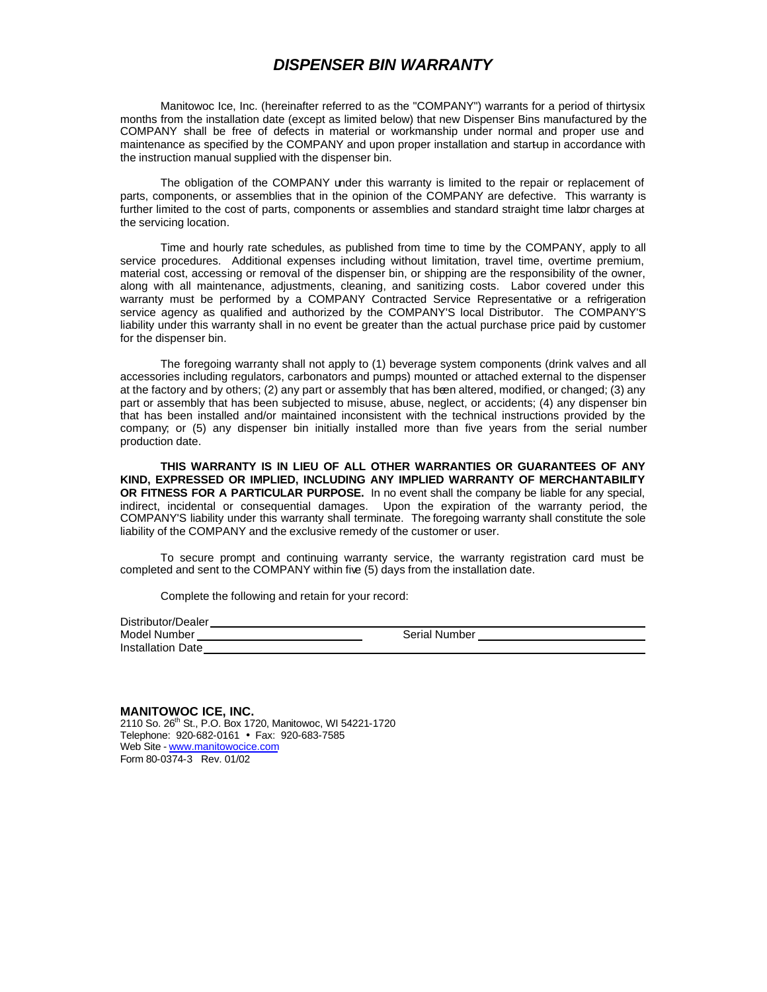#### *DISPENSER BIN WARRANTY*

Manitowoc Ice, Inc. (hereinafter referred to as the "COMPANY") warrants for a period of thirtysix months from the installation date (except as limited below) that new Dispenser Bins manufactured by the COMPANY shall be free of defects in material or workmanship under normal and proper use and maintenance as specified by the COMPANY and upon proper installation and startup in accordance with the instruction manual supplied with the dispenser bin.

The obligation of the COMPANY under this warranty is limited to the repair or replacement of parts, components, or assemblies that in the opinion of the COMPANY are defective. This warranty is further limited to the cost of parts, components or assemblies and standard straight time labor charges at the servicing location.

Time and hourly rate schedules, as published from time to time by the COMPANY, apply to all service procedures. Additional expenses including without limitation, travel time, overtime premium, material cost, accessing or removal of the dispenser bin, or shipping are the responsibility of the owner, along with all maintenance, adjustments, cleaning, and sanitizing costs. Labor covered under this warranty must be performed by a COMPANY Contracted Service Representative or a refrigeration service agency as qualified and authorized by the COMPANY'S local Distributor. The COMPANY'S liability under this warranty shall in no event be greater than the actual purchase price paid by customer for the dispenser bin.

The foregoing warranty shall not apply to (1) beverage system components (drink valves and all accessories including regulators, carbonators and pumps) mounted or attached external to the dispenser at the factory and by others; (2) any part or assembly that has been altered, modified, or changed; (3) any part or assembly that has been subjected to misuse, abuse, neglect, or accidents; (4) any dispenser bin that has been installed and/or maintained inconsistent with the technical instructions provided by the company; or (5) any dispenser bin initially installed more than five years from the serial number production date.

**THIS WARRANTY IS IN LIEU OF ALL OTHER WARRANTIES OR GUARANTEES OF ANY KIND, EXPRESSED OR IMPLIED, INCLUDING ANY IMPLIED WARRANTY OF MERCHANTABILITY OR FITNESS FOR A PARTICULAR PURPOSE.** In no event shall the company be liable for any special, indirect, incidental or consequential damages. Upon the expiration of the warranty period, the COMPANY'S liability under this warranty shall terminate. The foregoing warranty shall constitute the sole liability of the COMPANY and the exclusive remedy of the customer or user.

To secure prompt and continuing warranty service, the warranty registration card must be completed and sent to the COMPANY within five (5) days from the installation date.

Complete the following and retain for your record:

| Distributor/Dealer       |                      |
|--------------------------|----------------------|
| Model Number             | <b>Serial Number</b> |
| <b>Installation Date</b> |                      |

**MANITOWOC ICE, INC.** 2110 So. 26<sup>th</sup> St., P.O. Box 1720, Manitowoc, WI 54221-1720 Telephone: 920-682-0161 • Fax: 920-683-7585 Web Site - www.manitowocice.com Form 80-0374-3 Rev. 01/02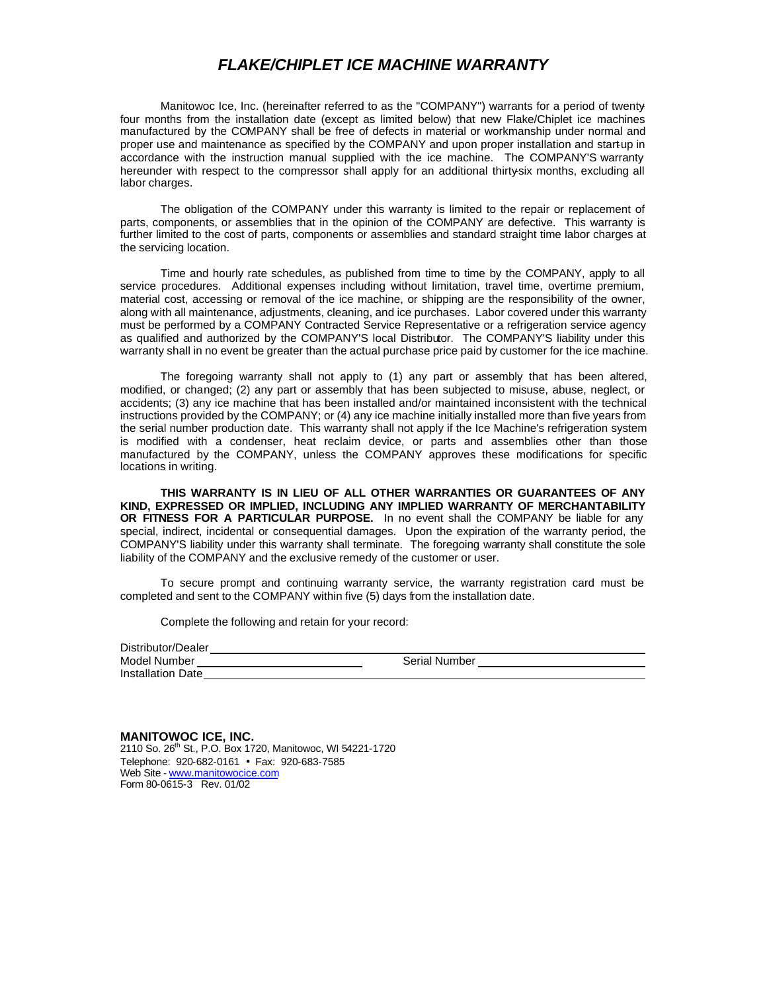### *FLAKE/CHIPLET ICE MACHINE WARRANTY*

Manitowoc Ice, Inc. (hereinafter referred to as the "COMPANY") warrants for a period of twentyfour months from the installation date (except as limited below) that new Flake/Chiplet ice machines manufactured by the COMPANY shall be free of defects in material or workmanship under normal and proper use and maintenance as specified by the COMPANY and upon proper installation and startup in accordance with the instruction manual supplied with the ice machine. The COMPANY'S warranty hereunder with respect to the compressor shall apply for an additional thirty-six months, excluding all labor charges.

The obligation of the COMPANY under this warranty is limited to the repair or replacement of parts, components, or assemblies that in the opinion of the COMPANY are defective. This warranty is further limited to the cost of parts, components or assemblies and standard straight time labor charges at the servicing location.

Time and hourly rate schedules, as published from time to time by the COMPANY, apply to all service procedures. Additional expenses including without limitation, travel time, overtime premium, material cost, accessing or removal of the ice machine, or shipping are the responsibility of the owner, along with all maintenance, adjustments, cleaning, and ice purchases. Labor covered under this warranty must be performed by a COMPANY Contracted Service Representative or a refrigeration service agency as qualified and authorized by the COMPANY'S local Distributor. The COMPANY'S liability under this warranty shall in no event be greater than the actual purchase price paid by customer for the ice machine.

The foregoing warranty shall not apply to (1) any part or assembly that has been altered, modified, or changed; (2) any part or assembly that has been subjected to misuse, abuse, neglect, or accidents; (3) any ice machine that has been installed and/or maintained inconsistent with the technical instructions provided by the COMPANY; or (4) any ice machine initially installed more than five years from the serial number production date. This warranty shall not apply if the Ice Machine's refrigeration system is modified with a condenser, heat reclaim device, or parts and assemblies other than those manufactured by the COMPANY, unless the COMPANY approves these modifications for specific locations in writing.

**THIS WARRANTY IS IN LIEU OF ALL OTHER WARRANTIES OR GUARANTEES OF ANY KIND, EXPRESSED OR IMPLIED, INCLUDING ANY IMPLIED WARRANTY OF MERCHANTABILITY OR FITNESS FOR A PARTICULAR PURPOSE.** In no event shall the COMPANY be liable for any special, indirect, incidental or consequential damages. Upon the expiration of the warranty period, the COMPANY'S liability under this warranty shall terminate. The foregoing warranty shall constitute the sole liability of the COMPANY and the exclusive remedy of the customer or user.

To secure prompt and continuing warranty service, the warranty registration card must be completed and sent to the COMPANY within five (5) days from the installation date.

Complete the following and retain for your record:

| Distributor/Dealer       |                      |
|--------------------------|----------------------|
| Model Number             | <b>Serial Number</b> |
| <b>Installation Date</b> |                      |

**MANITOWOC ICE, INC.** 2110 So. 26th St., P.O. Box 1720, Manitowoc, WI 54221-1720 Telephone: 920-682-0161 • Fax: 920-683-7585 Web Site - www.manitowocice.com Form 80-0615-3 Rev. 01/02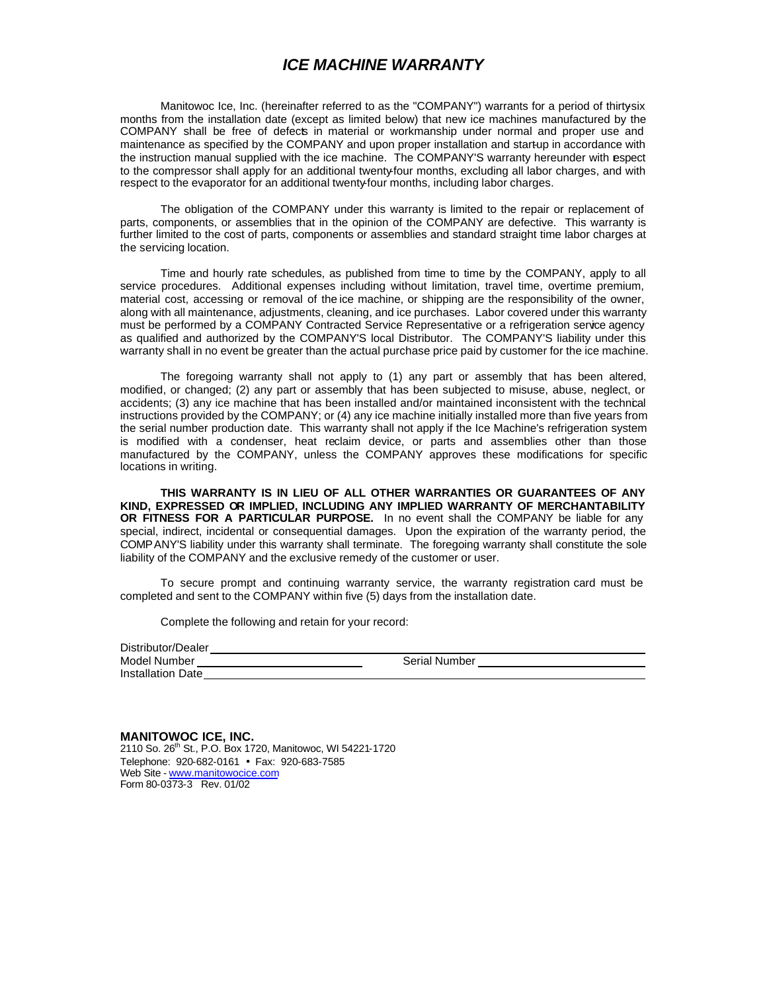## *ICE MACHINE WARRANTY*

Manitowoc Ice, Inc. (hereinafter referred to as the "COMPANY") warrants for a period of thirtysix months from the installation date (except as limited below) that new ice machines manufactured by the COMPANY shall be free of defects in material or workmanship under normal and proper use and maintenance as specified by the COMPANY and upon proper installation and startup in accordance with the instruction manual supplied with the ice machine. The COMPANY'S warranty hereunder with espect to the compressor shall apply for an additional twenty-four months, excluding all labor charges, and with respect to the evaporator for an additional twenty-four months, including labor charges.

The obligation of the COMPANY under this warranty is limited to the repair or replacement of parts, components, or assemblies that in the opinion of the COMPANY are defective. This warranty is further limited to the cost of parts, components or assemblies and standard straight time labor charges at the servicing location.

Time and hourly rate schedules, as published from time to time by the COMPANY, apply to all service procedures. Additional expenses including without limitation, travel time, overtime premium, material cost, accessing or removal of the ice machine, or shipping are the responsibility of the owner, along with all maintenance, adjustments, cleaning, and ice purchases. Labor covered under this warranty must be performed by a COMPANY Contracted Service Representative or a refrigeration service agency as qualified and authorized by the COMPANY'S local Distributor. The COMPANY'S liability under this warranty shall in no event be greater than the actual purchase price paid by customer for the ice machine.

The foregoing warranty shall not apply to (1) any part or assembly that has been altered, modified, or changed; (2) any part or assembly that has been subjected to misuse, abuse, neglect, or accidents; (3) any ice machine that has been installed and/or maintained inconsistent with the technical instructions provided by the COMPANY; or (4) any ice machine initially installed more than five years from the serial number production date. This warranty shall not apply if the Ice Machine's refrigeration system is modified with a condenser, heat reclaim device, or parts and assemblies other than those manufactured by the COMPANY, unless the COMPANY approves these modifications for specific locations in writing.

**THIS WARRANTY IS IN LIEU OF ALL OTHER WARRANTIES OR GUARANTEES OF ANY KIND, EXPRESSED OR IMPLIED, INCLUDING ANY IMPLIED WARRANTY OF MERCHANTABILITY OR FITNESS FOR A PARTICULAR PURPOSE.** In no event shall the COMPANY be liable for any special, indirect, incidental or consequential damages. Upon the expiration of the warranty period, the COMPANY'S liability under this warranty shall terminate. The foregoing warranty shall constitute the sole liability of the COMPANY and the exclusive remedy of the customer or user.

To secure prompt and continuing warranty service, the warranty registration card must be completed and sent to the COMPANY within five (5) days from the installation date.

Complete the following and retain for your record:

| Distributor/Dealer       |               |
|--------------------------|---------------|
| Model Number             | Serial Number |
| <b>Installation Date</b> |               |

**MANITOWOC ICE, INC.** 2110 So. 26<sup>th</sup> St., P.O. Box 1720, Manitowoc, WI 54221-1720 Telephone: 920-682-0161 • Fax: 920-683-7585 Web Site - www.manitowocice.com Form 80-0373-3 Rev. 01/02